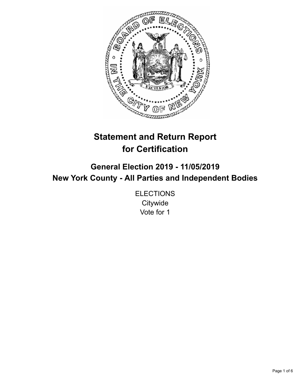

# **Statement and Return Report for Certification**

**General Election 2019 - 11/05/2019 New York County - All Parties and Independent Bodies**

> **ELECTIONS Citywide** Vote for 1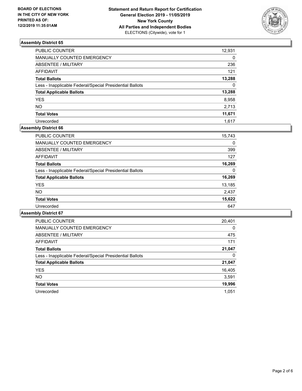

| PUBLIC COUNTER                                           | 12,931   |
|----------------------------------------------------------|----------|
| MANUALLY COUNTED EMERGENCY                               | $\Omega$ |
| ABSENTEE / MILITARY                                      | 236      |
| AFFIDAVIT                                                | 121      |
| <b>Total Ballots</b>                                     | 13,288   |
| Less - Inapplicable Federal/Special Presidential Ballots | $\Omega$ |
| <b>Total Applicable Ballots</b>                          | 13,288   |
| <b>YES</b>                                               | 8,958    |
| <b>NO</b>                                                | 2,713    |
| <b>Total Votes</b>                                       | 11,671   |
| Unrecorded                                               | 1.617    |

## **Assembly District 66**

| <b>PUBLIC COUNTER</b>                                    | 15,743 |
|----------------------------------------------------------|--------|
| <b>MANUALLY COUNTED EMERGENCY</b>                        | 0      |
| ABSENTEE / MILITARY                                      | 399    |
| AFFIDAVIT                                                | 127    |
| <b>Total Ballots</b>                                     | 16,269 |
| Less - Inapplicable Federal/Special Presidential Ballots | 0      |
| <b>Total Applicable Ballots</b>                          | 16,269 |
| <b>YES</b>                                               | 13,185 |
| NO.                                                      | 2.437  |
| <b>Total Votes</b>                                       | 15,622 |
| Unrecorded                                               | 647    |

| <b>PUBLIC COUNTER</b>                                    | 20,401   |
|----------------------------------------------------------|----------|
| <b>MANUALLY COUNTED EMERGENCY</b>                        | $\Omega$ |
| ABSENTEE / MILITARY                                      | 475      |
| <b>AFFIDAVIT</b>                                         | 171      |
| <b>Total Ballots</b>                                     | 21,047   |
| Less - Inapplicable Federal/Special Presidential Ballots | 0        |
| <b>Total Applicable Ballots</b>                          | 21,047   |
| <b>YES</b>                                               | 16,405   |
| NO.                                                      | 3,591    |
| <b>Total Votes</b>                                       | 19,996   |
| Unrecorded                                               | 1.051    |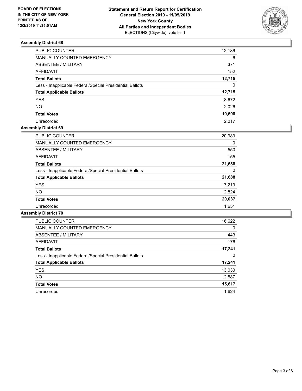

| <b>PUBLIC COUNTER</b>                                    | 12,186   |
|----------------------------------------------------------|----------|
| MANUALLY COUNTED EMERGENCY                               | 6        |
| <b>ABSENTEE / MILITARY</b>                               | 371      |
| <b>AFFIDAVIT</b>                                         | 152      |
| <b>Total Ballots</b>                                     | 12,715   |
| Less - Inapplicable Federal/Special Presidential Ballots | $\Omega$ |
| <b>Total Applicable Ballots</b>                          | 12,715   |
| <b>YES</b>                                               | 8,672    |
| <b>NO</b>                                                | 2,026    |
| <b>Total Votes</b>                                       | 10,698   |
| Unrecorded                                               | 2.017    |

#### **Assembly District 69**

| PUBLIC COUNTER                                           | 20,983 |
|----------------------------------------------------------|--------|
| <b>MANUALLY COUNTED EMERGENCY</b>                        | 0      |
| ABSENTEE / MILITARY                                      | 550    |
| AFFIDAVIT                                                | 155    |
| <b>Total Ballots</b>                                     | 21,688 |
| Less - Inapplicable Federal/Special Presidential Ballots | 0      |
| <b>Total Applicable Ballots</b>                          | 21,688 |
| <b>YES</b>                                               | 17,213 |
| <b>NO</b>                                                | 2,824  |
| <b>Total Votes</b>                                       | 20,037 |
| Unrecorded                                               | 1,651  |

| <b>PUBLIC COUNTER</b>                                    | 16,622   |
|----------------------------------------------------------|----------|
| <b>MANUALLY COUNTED EMERGENCY</b>                        | $\Omega$ |
| ABSENTEE / MILITARY                                      | 443      |
| <b>AFFIDAVIT</b>                                         | 176      |
| <b>Total Ballots</b>                                     | 17,241   |
| Less - Inapplicable Federal/Special Presidential Ballots | 0        |
| <b>Total Applicable Ballots</b>                          | 17,241   |
| <b>YES</b>                                               | 13,030   |
| <b>NO</b>                                                | 2,587    |
| <b>Total Votes</b>                                       | 15,617   |
| Unrecorded                                               | 1.624    |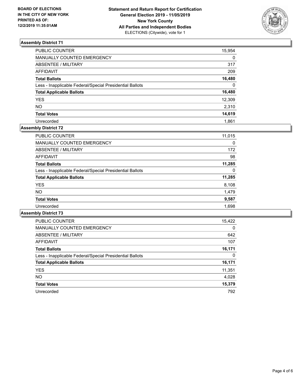

| <b>PUBLIC COUNTER</b>                                    | 15,954   |
|----------------------------------------------------------|----------|
| MANUALLY COUNTED EMERGENCY                               | $\Omega$ |
| <b>ABSENTEE / MILITARY</b>                               | 317      |
| <b>AFFIDAVIT</b>                                         | 209      |
| <b>Total Ballots</b>                                     | 16,480   |
| Less - Inapplicable Federal/Special Presidential Ballots | $\Omega$ |
| <b>Total Applicable Ballots</b>                          | 16,480   |
| <b>YES</b>                                               | 12,309   |
| <b>NO</b>                                                | 2,310    |
| <b>Total Votes</b>                                       | 14,619   |
| Unrecorded                                               | 1.861    |

## **Assembly District 72**

| PUBLIC COUNTER                                           | 11,015   |
|----------------------------------------------------------|----------|
| <b>MANUALLY COUNTED EMERGENCY</b>                        | $\Omega$ |
| ABSENTEE / MILITARY                                      | 172      |
| AFFIDAVIT                                                | 98       |
| <b>Total Ballots</b>                                     | 11,285   |
| Less - Inapplicable Federal/Special Presidential Ballots | $\Omega$ |
| <b>Total Applicable Ballots</b>                          | 11,285   |
| <b>YES</b>                                               | 8,108    |
| <b>NO</b>                                                | 1,479    |
| <b>Total Votes</b>                                       | 9,587    |
| Unrecorded                                               | 1,698    |

| <b>PUBLIC COUNTER</b>                                    | 15,422   |
|----------------------------------------------------------|----------|
| <b>MANUALLY COUNTED EMERGENCY</b>                        | $\Omega$ |
| ABSENTEE / MILITARY                                      | 642      |
| AFFIDAVIT                                                | 107      |
| <b>Total Ballots</b>                                     | 16,171   |
| Less - Inapplicable Federal/Special Presidential Ballots | 0        |
| <b>Total Applicable Ballots</b>                          | 16,171   |
| <b>YES</b>                                               | 11,351   |
| NO.                                                      | 4.028    |
| <b>Total Votes</b>                                       | 15,379   |
| Unrecorded                                               | 792      |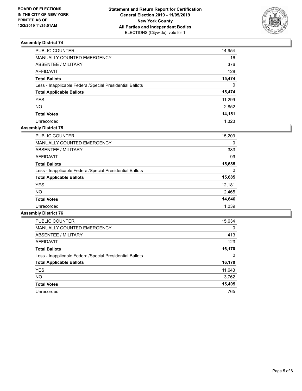

| PUBLIC COUNTER                                           | 14,954   |
|----------------------------------------------------------|----------|
| <b>MANUALLY COUNTED EMERGENCY</b>                        | 16       |
| <b>ABSENTEE / MILITARY</b>                               | 376      |
| <b>AFFIDAVIT</b>                                         | 128      |
| <b>Total Ballots</b>                                     | 15,474   |
| Less - Inapplicable Federal/Special Presidential Ballots | $\Omega$ |
| <b>Total Applicable Ballots</b>                          | 15,474   |
| YES.                                                     | 11,299   |
| <b>NO</b>                                                | 2,852    |
| <b>Total Votes</b>                                       | 14,151   |
| Unrecorded                                               | 1.323    |

## **Assembly District 75**

| <b>PUBLIC COUNTER</b>                                    | 15,203 |
|----------------------------------------------------------|--------|
| <b>MANUALLY COUNTED EMERGENCY</b>                        | 0      |
| ABSENTEE / MILITARY                                      | 383    |
| AFFIDAVIT                                                | 99     |
| <b>Total Ballots</b>                                     | 15,685 |
| Less - Inapplicable Federal/Special Presidential Ballots | 0      |
| <b>Total Applicable Ballots</b>                          | 15,685 |
| <b>YES</b>                                               | 12,181 |
| <b>NO</b>                                                | 2,465  |
| <b>Total Votes</b>                                       | 14,646 |
| Unrecorded                                               | 1,039  |

| <b>PUBLIC COUNTER</b>                                    | 15,634   |
|----------------------------------------------------------|----------|
| <b>MANUALLY COUNTED EMERGENCY</b>                        | $\Omega$ |
| ABSENTEE / MILITARY                                      | 413      |
| AFFIDAVIT                                                | 123      |
| <b>Total Ballots</b>                                     | 16,170   |
| Less - Inapplicable Federal/Special Presidential Ballots | 0        |
| <b>Total Applicable Ballots</b>                          | 16,170   |
| <b>YES</b>                                               | 11,643   |
| <b>NO</b>                                                | 3,762    |
| <b>Total Votes</b>                                       | 15,405   |
| Unrecorded                                               | 765      |